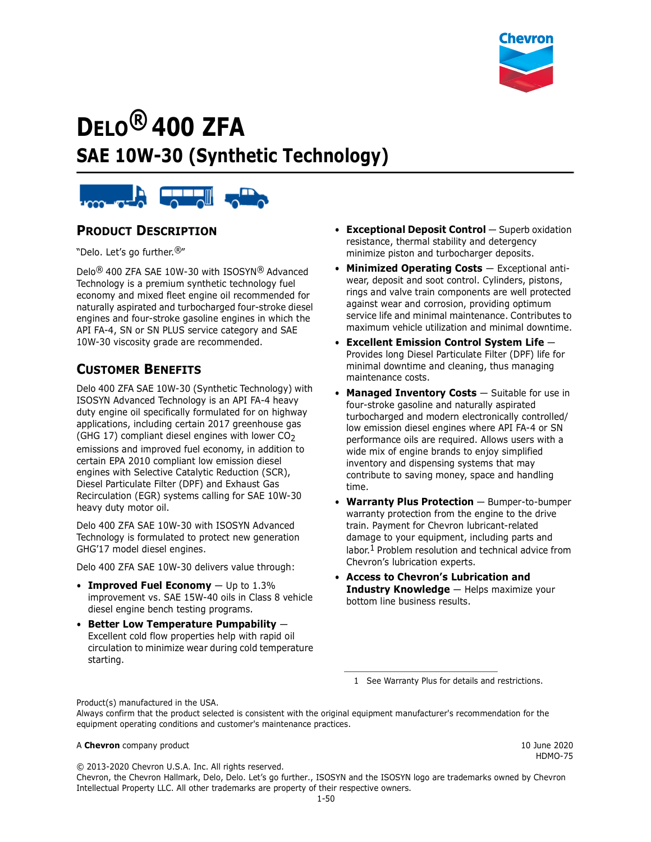

# **DELO® 400 ZFA SAE 10W-30 (Synthetic Technology)**



#### **PRODUCT DESCRIPTION**

"Delo. Let's go further.®"

Delo® 400 ZFA SAE 10W-30 with ISOSYN® Advanced Technology is a premium synthetic technology fuel economy and mixed fleet engine oil recommended for naturally aspirated and turbocharged four-stroke diesel engines and four-stroke gasoline engines in which the API FA-4, SN or SN PLUS service category and SAE 10W-30 viscosity grade are recommended.

## **CUSTOMER BENEFITS**

Delo 400 ZFA SAE 10W-30 (Synthetic Technology) with ISOSYN Advanced Technology is an API FA-4 heavy duty engine oil specifically formulated for on highway applications, including certain 2017 greenhouse gas (GHG 17) compliant diesel engines with lower  $CO<sub>2</sub>$ emissions and improved fuel economy, in addition to certain EPA 2010 compliant low emission diesel engines with Selective Catalytic Reduction (SCR), Diesel Particulate Filter (DPF) and Exhaust Gas Recirculation (EGR) systems calling for SAE 10W-30 heavy duty motor oil.

Delo 400 ZFA SAE 10W-30 with ISOSYN Advanced Technology is formulated to protect new generation GHG'17 model diesel engines.

Delo 400 ZFA SAE 10W-30 delivers value through:

- **Improved Fuel Economy** Up to 1.3% improvement vs. SAE 15W-40 oils in Class 8 vehicle diesel engine bench testing programs.
- **Better Low Temperature Pumpability** Excellent cold flow properties help with rapid oil circulation to minimize wear during cold temperature starting.
- **Exceptional Deposit Control** Superb oxidation resistance, thermal stability and detergency minimize piston and turbocharger deposits.
- **Minimized Operating Costs** Exceptional antiwear, deposit and soot control. Cylinders, pistons, rings and valve train components are well protected against wear and corrosion, providing optimum service life and minimal maintenance. Contributes to maximum vehicle utilization and minimal downtime.
- **Excellent Emission Control System Life** Provides long Diesel Particulate Filter (DPF) life for minimal downtime and cleaning, thus managing maintenance costs.
- **Managed Inventory Costs** Suitable for use in four-stroke gasoline and naturally aspirated turbocharged and modern electronically controlled/ low emission diesel engines where API FA-4 or SN performance oils are required. Allows users with a wide mix of engine brands to enjoy simplified inventory and dispensing systems that may contribute to saving money, space and handling time.
- **Warranty Plus Protection** Bumper-to-bumper warranty protection from the engine to the drive train. Payment for Chevron lubricant-related damage to your equipment, including parts and labor.<sup>1</sup> Problem resolution and technical advice from Chevron's lubrication experts.
- **Access to Chevron's Lubrication and Industry Knowledge** — Helps maximize your bottom line business results.

1 See Warranty Plus for details and restrictions.

Product(s) manufactured in the USA.

Always confirm that the product selected is consistent with the original equipment manufacturer's recommendation for the equipment operating conditions and customer's maintenance practices.

#### A **Chevron** company product **10 Automaker 2020 10 June 2020 10 June 2020**

HDMO-75

© 2013-2020 Chevron U.S.A. Inc. All rights reserved. Chevron, the Chevron Hallmark, Delo, Delo. Let's go further., ISOSYN and the ISOSYN logo are trademarks owned by Chevron Intellectual Property LLC. All other trademarks are property of their respective owners.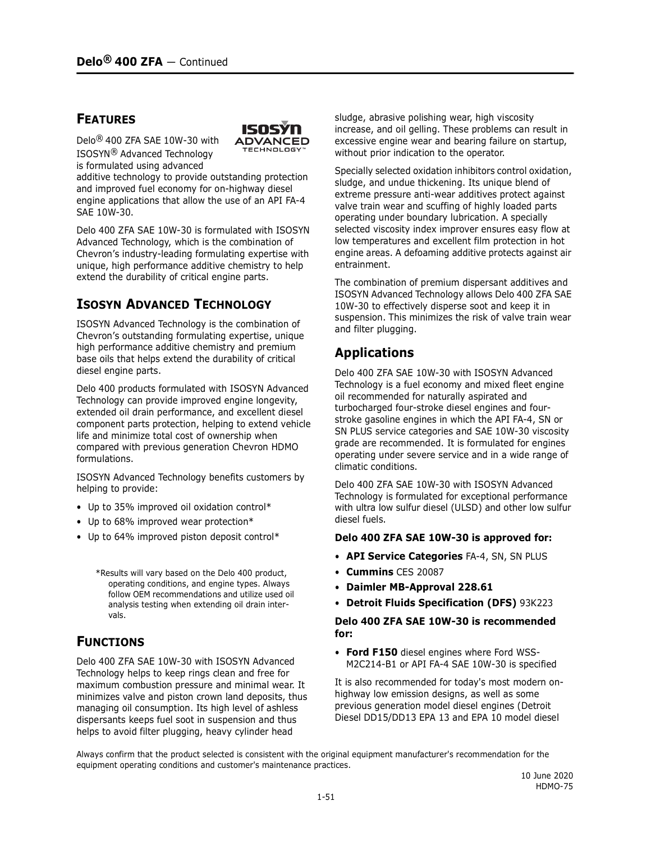#### **FEATURES**

Delo® 400 ZFA SAE 10W-30 with ISOSYN® Advanced Technology is formulated using advanced



additive technology to provide outstanding protection and improved fuel economy for on-highway diesel engine applications that allow the use of an API FA-4 SAE 10W-30.

Delo 400 ZFA SAE 10W-30 is formulated with ISOSYN Advanced Technology, which is the combination of Chevron's industry-leading formulating expertise with unique, high performance additive chemistry to help extend the durability of critical engine parts.

## **ISOSYN ADVANCED TECHNOLOGY**

ISOSYN Advanced Technology is the combination of Chevron's outstanding formulating expertise, unique high performance additive chemistry and premium base oils that helps extend the durability of critical diesel engine parts.

Delo 400 products formulated with ISOSYN Advanced Technology can provide improved engine longevity, extended oil drain performance, and excellent diesel component parts protection, helping to extend vehicle life and minimize total cost of ownership when compared with previous generation Chevron HDMO formulations.

ISOSYN Advanced Technology benefits customers by helping to provide:

- Up to 35% improved oil oxidation control\*
- Up to 68% improved wear protection\*
- Up to 64% improved piston deposit control\*
	- \*Results will vary based on the Delo 400 product, operating conditions, and engine types. Always follow OEM recommendations and utilize used oil analysis testing when extending oil drain intervals.

## **FUNCTIONS**

Delo 400 ZFA SAE 10W-30 with ISOSYN Advanced Technology helps to keep rings clean and free for maximum combustion pressure and minimal wear. It minimizes valve and piston crown land deposits, thus managing oil consumption. Its high level of ashless dispersants keeps fuel soot in suspension and thus helps to avoid filter plugging, heavy cylinder head

sludge, abrasive polishing wear, high viscosity increase, and oil gelling. These problems can result in excessive engine wear and bearing failure on startup, without prior indication to the operator.

Specially selected oxidation inhibitors control oxidation, sludge, and undue thickening. Its unique blend of extreme pressure anti-wear additives protect against valve train wear and scuffing of highly loaded parts operating under boundary lubrication. A specially selected viscosity index improver ensures easy flow at low temperatures and excellent film protection in hot engine areas. A defoaming additive protects against air entrainment.

The combination of premium dispersant additives and ISOSYN Advanced Technology allows Delo 400 ZFA SAE 10W-30 to effectively disperse soot and keep it in suspension. This minimizes the risk of valve train wear and filter plugging.

## **Applications**

Delo 400 ZFA SAE 10W-30 with ISOSYN Advanced Technology is a fuel economy and mixed fleet engine oil recommended for naturally aspirated and turbocharged four-stroke diesel engines and fourstroke gasoline engines in which the API FA-4, SN or SN PLUS service categories and SAE 10W-30 viscosity grade are recommended. It is formulated for engines operating under severe service and in a wide range of climatic conditions.

Delo 400 ZFA SAE 10W-30 with ISOSYN Advanced Technology is formulated for exceptional performance with ultra low sulfur diesel (ULSD) and other low sulfur diesel fuels.

#### **Delo 400 ZFA SAE 10W-30 is approved for:**

- **API Service Categories** FA-4, SN, SN PLUS
- **Cummins** CES 20087
- **Daimler MB-Approval 228.61**
- **Detroit Fluids Specification (DFS)** 93K223

#### **Delo 400 ZFA SAE 10W-30 is recommended for:**

• **Ford F150** diesel engines where Ford WSS-M2C214-B1 or API FA-4 SAE 10W-30 is specified

It is also recommended for today's most modern onhighway low emission designs, as well as some previous generation model diesel engines (Detroit Diesel DD15/DD13 EPA 13 and EPA 10 model diesel

Always confirm that the product selected is consistent with the original equipment manufacturer's recommendation for the equipment operating conditions and customer's maintenance practices.